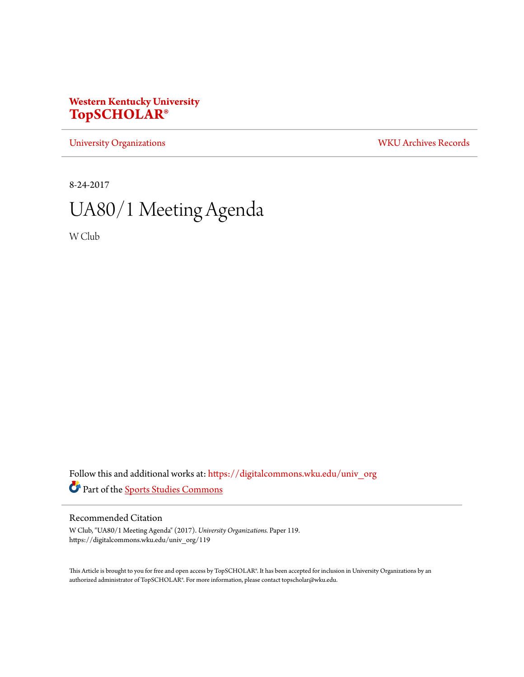## **Western Kentucky University [TopSCHOLAR®](https://digitalcommons.wku.edu?utm_source=digitalcommons.wku.edu%2Funiv_org%2F119&utm_medium=PDF&utm_campaign=PDFCoverPages)**

[University Organizations](https://digitalcommons.wku.edu/univ_org?utm_source=digitalcommons.wku.edu%2Funiv_org%2F119&utm_medium=PDF&utm_campaign=PDFCoverPages) [WKU Archives Records](https://digitalcommons.wku.edu/dlsc_ua_records?utm_source=digitalcommons.wku.edu%2Funiv_org%2F119&utm_medium=PDF&utm_campaign=PDFCoverPages)

8-24-2017

# UA80/1 Meeting Agenda

W Club

Follow this and additional works at: [https://digitalcommons.wku.edu/univ\\_org](https://digitalcommons.wku.edu/univ_org?utm_source=digitalcommons.wku.edu%2Funiv_org%2F119&utm_medium=PDF&utm_campaign=PDFCoverPages) Part of the [Sports Studies Commons](http://network.bepress.com/hgg/discipline/1198?utm_source=digitalcommons.wku.edu%2Funiv_org%2F119&utm_medium=PDF&utm_campaign=PDFCoverPages)

#### Recommended Citation

W Club, "UA80/1 Meeting Agenda" (2017). *University Organizations.* Paper 119. https://digitalcommons.wku.edu/univ\_org/119

This Article is brought to you for free and open access by TopSCHOLAR®. It has been accepted for inclusion in University Organizations by an authorized administrator of TopSCHOLAR®. For more information, please contact topscholar@wku.edu.